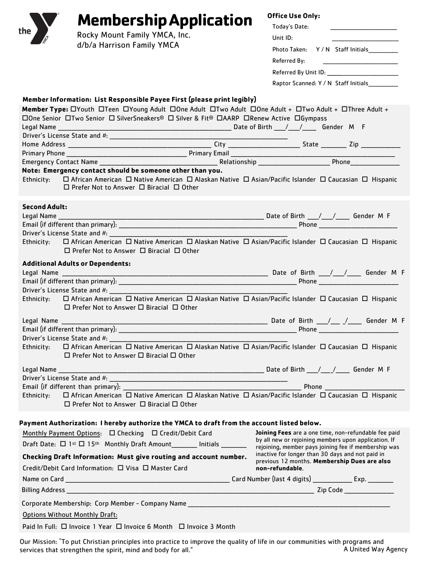|                         | <b>Membership Application</b>                                                                                                                                                                   | <b>Office Use Only:</b>                                                                                                                                                                                                        |  |
|-------------------------|-------------------------------------------------------------------------------------------------------------------------------------------------------------------------------------------------|--------------------------------------------------------------------------------------------------------------------------------------------------------------------------------------------------------------------------------|--|
| the                     | Rocky Mount Family YMCA, Inc.                                                                                                                                                                   | Today's Date:                                                                                                                                                                                                                  |  |
|                         | d/b/a Harrison Family YMCA                                                                                                                                                                      | Unit ID:                                                                                                                                                                                                                       |  |
|                         |                                                                                                                                                                                                 | Photo Taken: Y / N Staff Initials___________                                                                                                                                                                                   |  |
|                         |                                                                                                                                                                                                 |                                                                                                                                                                                                                                |  |
|                         |                                                                                                                                                                                                 | Referred By Unit ID: \\cdot \\cdot \\cdot \\cdot \\cdot \\cdot \\cdot \\cdot \\cdot \\cdot \\cdot \\cdot \\cdot \\cdot \\cdot \\cdot \\cdot \\cdot \\cdot \\cdot \\cdot \\cdot \\cdot \\cdot \\cdot \\cdot \\cdot \\cdot \\cdo |  |
|                         |                                                                                                                                                                                                 | Raptor Scanned: Y / N Staff Initials____________                                                                                                                                                                               |  |
|                         | Member Information: List Responsible Payee First (please print legibly)                                                                                                                         |                                                                                                                                                                                                                                |  |
|                         | Member Type: OYouth OTeen OYoung Adult DOne Adult OTwo Adult OOne Adult + OTwo Adult + OThree Adult +                                                                                           |                                                                                                                                                                                                                                |  |
|                         | □One Senior □Two Senior □ SilverSneakers® □ Silver & Fit® □AARP □Renew Active □Gympass                                                                                                          |                                                                                                                                                                                                                                |  |
|                         |                                                                                                                                                                                                 |                                                                                                                                                                                                                                |  |
|                         |                                                                                                                                                                                                 |                                                                                                                                                                                                                                |  |
|                         |                                                                                                                                                                                                 |                                                                                                                                                                                                                                |  |
|                         |                                                                                                                                                                                                 |                                                                                                                                                                                                                                |  |
|                         | Note: Emergency contact should be someone other than you.                                                                                                                                       |                                                                                                                                                                                                                                |  |
| Ethnicity:              | $\Box$ African American $\Box$ Native American $\Box$ Alaskan Native $\Box$ Asian/Pacific Islander $\Box$ Caucasian $\Box$ Hispanic<br>$\Box$ Prefer Not to Answer $\Box$ Biracial $\Box$ Other |                                                                                                                                                                                                                                |  |
| <b>Second Adult:</b>    |                                                                                                                                                                                                 |                                                                                                                                                                                                                                |  |
|                         |                                                                                                                                                                                                 |                                                                                                                                                                                                                                |  |
|                         |                                                                                                                                                                                                 |                                                                                                                                                                                                                                |  |
|                         |                                                                                                                                                                                                 |                                                                                                                                                                                                                                |  |
|                         | Ethnicity: □ African American □ Native American □ Alaskan Native □ Asian/Pacific Islander □ Caucasian □ Hispanic<br>$\Box$ Prefer Not to Answer $\Box$ Biracial $\Box$ Other                    |                                                                                                                                                                                                                                |  |
|                         | <b>Additional Adults or Dependents:</b>                                                                                                                                                         |                                                                                                                                                                                                                                |  |
|                         |                                                                                                                                                                                                 |                                                                                                                                                                                                                                |  |
|                         |                                                                                                                                                                                                 |                                                                                                                                                                                                                                |  |
|                         | Ethnicity:  □ African American □ Native American □ Alaskan Native □ Asian/Pacific Islander □ Caucasian □ Hispanic<br>$\Box$ Prefer Not to Answer $\Box$ Biracial $\Box$ Other                   |                                                                                                                                                                                                                                |  |
| Legal Name ____________ |                                                                                                                                                                                                 | Date of Birth ____/ ____ / _____ Gender M F                                                                                                                                                                                    |  |
|                         | Email (if different than primary):                                                                                                                                                              | Phone _____________________                                                                                                                                                                                                    |  |
|                         |                                                                                                                                                                                                 |                                                                                                                                                                                                                                |  |
| Ethnicity:              | □ African American □ Native American □ Alaskan Native □ Asian/Pacific Islander □ Caucasian □ Hispanic<br>□ Prefer Not to Answer □ Biracial □ Other                                              |                                                                                                                                                                                                                                |  |
|                         |                                                                                                                                                                                                 |                                                                                                                                                                                                                                |  |
|                         |                                                                                                                                                                                                 |                                                                                                                                                                                                                                |  |
|                         |                                                                                                                                                                                                 |                                                                                                                                                                                                                                |  |
|                         | Ethnicity: □ African American □ Native American □ Alaskan Native □ Asian/Pacific Islander □ Caucasian □ Hispanic<br>$\Box$ Prefer Not to Answer $\Box$ Biracial $\Box$ Other                    |                                                                                                                                                                                                                                |  |
|                         | Payment Authorization: I hereby authorize the YMCA to draft from the account listed below.                                                                                                      |                                                                                                                                                                                                                                |  |
|                         | Monthly Payment Options: □ Checking □ Credit/Debit Card                                                                                                                                         | Joining Fees are a one time, non-refundable fee paid                                                                                                                                                                           |  |
|                         | Draft Date: □ 1 <sup>st</sup> □ 15 <sup>th</sup> Monthly Draft Amount_______ Initials _______                                                                                                   | by all new or rejoining members upon application. If<br>rejoining, member pays joining fee if membership was                                                                                                                   |  |
|                         | Checking Draft Information: Must give routing and account number.<br>Credit/Debit Card Information: □ Visa □ Master Card                                                                        | inactive for longer than 30 days and not paid in<br>previous 12 months. Membership Dues are also<br>non-refundable.                                                                                                            |  |
|                         |                                                                                                                                                                                                 |                                                                                                                                                                                                                                |  |
|                         |                                                                                                                                                                                                 |                                                                                                                                                                                                                                |  |
|                         | Corporate Membership: Corp Member - Company Name ________________________________                                                                                                               |                                                                                                                                                                                                                                |  |
|                         | <b>Options Without Monthly Draft:</b>                                                                                                                                                           |                                                                                                                                                                                                                                |  |
|                         | Paid In Full: □ Invoice 1 Year □ Invoice 6 Month □ Invoice 3 Month                                                                                                                              |                                                                                                                                                                                                                                |  |

Our Mission: "To put Christian principles into practice to improve the quality of life in our communities with programs and services that strengthen the spirit, mind and body for all." A United Way Agency